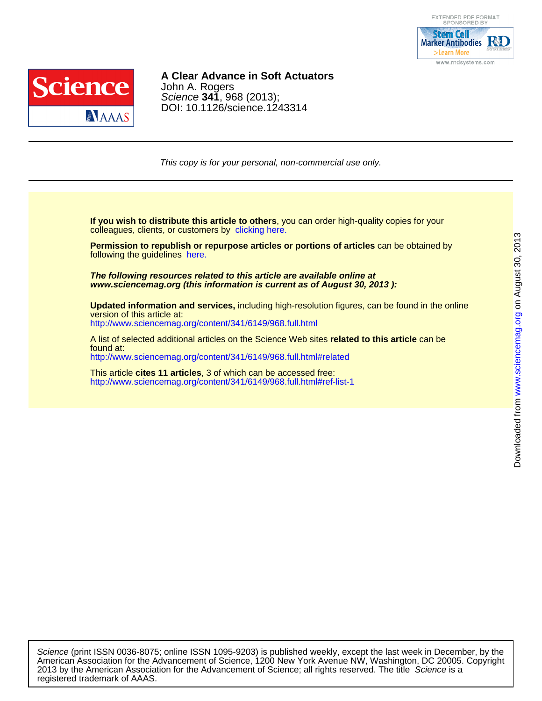



## DOI: 10.1126/science.1243314 Science **341**, 968 (2013); John A. Rogers **A Clear Advance in Soft Actuators**

This copy is for your personal, non-commercial use only.

colleagues, clients, or customers by [clicking here.](http://www.sciencemag.org/about/permissions.dtl) **If you wish to distribute this article to others**, you can order high-quality copies for your

following the guidelines [here.](http://www.sciencemag.org/about/permissions.dtl) **Permission to republish or repurpose articles or portions of articles** can be obtained by

**www.sciencemag.org (this information is current as of August 30, 2013 ): The following resources related to this article are available online at**

<http://www.sciencemag.org/content/341/6149/968.full.html> version of this article at: **Updated information and services,** including high-resolution figures, can be found in the online

<http://www.sciencemag.org/content/341/6149/968.full.html#related> found at: A list of selected additional articles on the Science Web sites **related to this article** can be

<http://www.sciencemag.org/content/341/6149/968.full.html#ref-list-1> This article **cites 11 articles**, 3 of which can be accessed free:

registered trademark of AAAS. 2013 by the American Association for the Advancement of Science; all rights reserved. The title Science is a American Association for the Advancement of Science, 1200 New York Avenue NW, Washington, DC 20005. Copyright Science (print ISSN 0036-8075; online ISSN 1095-9203) is published weekly, except the last week in December, by the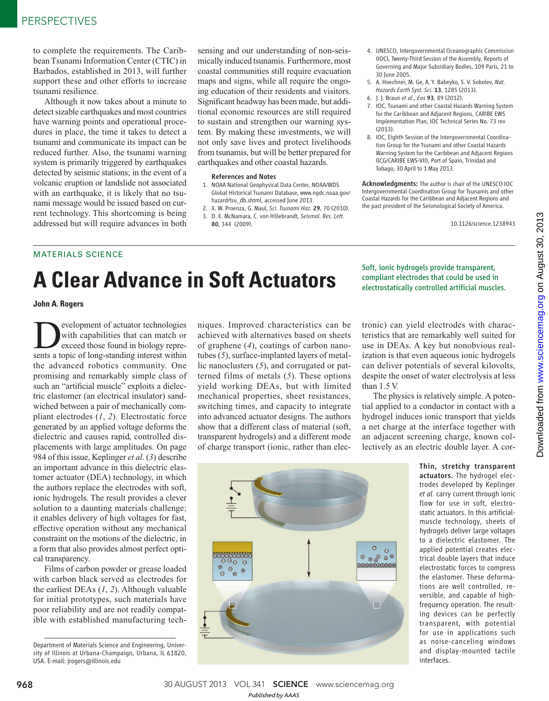to complete the requirements. The Caribbean Tsunami Information Center (CTIC) in Barbados, established in 2013, will further support these and other efforts to increase tsunami resilience.

Although it now takes about a minute to detect sizable earthquakes and most countries have warning points and operational procedures in place, the time it takes to detect a tsunami and communicate its impact can be reduced further. Also, the tsunami warning system is primarily triggered by earthquakes detected by seismic stations; in the event of a volcanic eruption or landslide not associated with an earthquake, it is likely that no tsunami message would be issued based on current technology. This shortcoming is being addressed but will require advances in both

sensing and our understanding of non-seismically induced tsunamis. Furthermore, most coastal communities still require evacuation maps and signs, while all require the ongoing education of their residents and visitors. Significant headway has been made, but additional economic resources are still required to sustain and strengthen our warning system. By making these investments, we will not only save lives and protect livelihoods from tsunamis, but will be better prepared for earthquakes and other coastal hazards.

#### References and Notes

- 1. NOAA National Geophysical Data Center, NOAA/WDS Global Historical Tsunami Database, www.ngdc.noaa.gov/ hazard/tsu\_db.shtml, accessed June 2013.
- 2. X. W. Proenza, G. Maul, *Sci. Tsunami Haz.* 29, 70 (2010). 3. D. E. McNamara, C. von Hillebrandt, *Seismol. Res. Lett.* 80, 344 (2009).
- 4. UNESCO, Intergovernmental Oceanographic Commission (IOC), Twenty-Third Session of the Assembly, Reports of Governing and Major Subsidiary Bodies, 109 Paris, 21 to 30 June 2005.
- 5. A. Hoechner, M. Ge, A. Y. Babeyko, S. V. Sobolev, *Nat. Hazards Earth Syst. Sci.* 13, 1285 (2013).
- 6. J. J. Braun *et al*., *Eos* 93, 89 (2012). 7. IOC, Tsunami and other Coastal Hazards Warning System for the Caribbean and Adjacent Regions, CARIBE EWS Implementation Plan, IOC Technical Series No. 73 rev  $(2013)$
- 8. IOC, Eighth Session of the Intergovernmental Coordination Group for the Tsunami and other Coastal Hazards Warning System for the Caribbean and Adjacent Regions (ICG/CARIBE EWS-VII), Port of Spain, Trinidad and Tobago, 30 April to 1 May 2013.

Acknowledgments: The author is chair of the UNESCO IOC Intergovernmental Coordination Group for Tsunamis and other Coastal Hazards for the Caribbean and Adjacent Regions and the past president of the Seismological Society of America.

10.1126/science.1238943

## MATERIALS SCIENCE

# **A Clear Advance in Soft Actuators**

**John A. Rogers**

**Development of actuator technologies** with capabilities that can match or exceed those found in biology represents a topic of long-standing interest within with capabilities that can match or exceed those found in biology reprethe advanced robotics community. One promising and remarkably simple class of such an "artificial muscle" exploits a dielectric elastomer (an electrical insulator) sandwiched between a pair of mechanically compliant electrodes (*1*, *2*). Electrostatic force generated by an applied voltage deforms the dielectric and causes rapid, controlled displacements with large amplitudes. On page 984 of this issue, Keplinger *et al*. (*3*) describe an important advance in this dielectric elastomer actuator (DEA) technology, in which the authors replace the electrodes with soft, ionic hydrogels. The result provides a clever solution to a daunting materials challenge; it enables delivery of high voltages for fast, effective operation without any mechanical constraint on the motions of the dielectric, in a form that also provides almost perfect optical transparency.

Films of carbon powder or grease loaded with carbon black served as electrodes for the earliest DEAs (*1*, *2*). Although valuable for initial prototypes, such materials have poor reliability and are not readily compatible with established manufacturing tech-

Department of Materials Science and Engineering, University of Illinois at Urbana-Champaign, Urbana, IL 61820, USA. E-mail: jrogers@illinois.edu

niques. Improved characteristics can be achieved with alternatives based on sheets of graphene (*4*), coatings of carbon nanotubes (*5*), surface-implanted layers of metallic nanoclusters (*5*), and corrugated or patterned films of metals (*5*). These options yield working DEAs, but with limited mechanical properties, sheet resistances, switching times, and capacity to integrate into advanced actuator designs. The authors show that a different class of material (soft, transparent hydrogels) and a different mode of charge transport (ionic, rather than elecSoft, ionic hydrogels provide transparent, compliant electrodes that could be used in electrostatically controlled artificial muscles.

tronic) can yield electrodes with characteristics that are remarkably well suited for use in DEAs. A key but nonobvious realization is that even aqueous ionic hydrogels can deliver potentials of several kilovolts, despite the onset of water electrolysis at less than 1.5 V.

The physics is relatively simple. A potential applied to a conductor in contact with a hydrogel induces ionic transport that yields a net charge at the interface together with an adjacent screening charge, known collectively as an electric double layer. A cor-



Thin, stretchy transparent actuators. The hydrogel electrodes developed by Keplinger *et al*. carry current through ionic flow for use in soft, electrostatic actuators. In this artificialmuscle technology, sheets of hydrogels deliver large voltages to a dielectric elastomer. The applied potential creates electrical double layers that induce electrostatic forces to compress the elastomer. These deformations are well controlled, reversible, and capable of highfrequency operation. The resulting devices can be perfectly transparent, with potential for use in applications such as noise-canceling windows and display-mounted tactile interfaces.